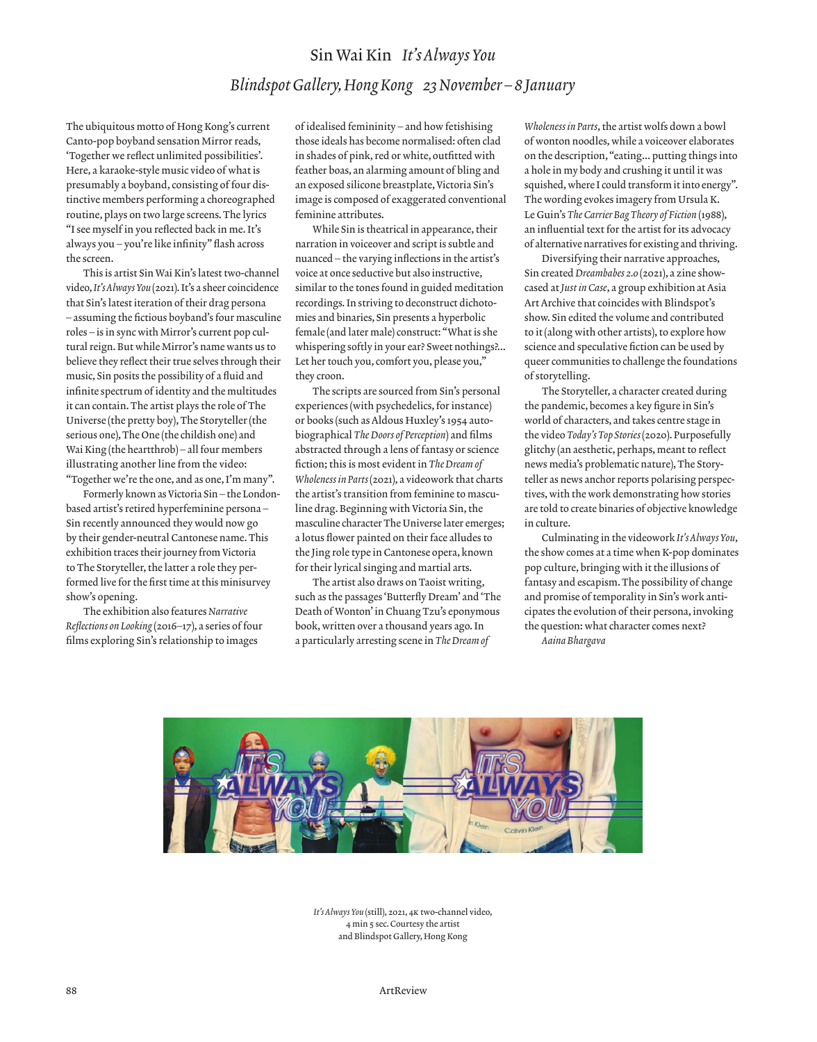## Sin Wai Kin *It's Always You Blindspot Gallery, Hong Kong 23 November – 8 January*

The ubiquitous motto of Hong Kong's current Canto-pop boyband sensation Mirror reads, 'Together we reflect unlimited possibilities'. Here, a karaoke-style music video of what is presumably a boyband, consisting of four distinctive members performing a choreographed routine, plays on two large screens. The lyrics "I see myself in you reflected back in me. It's always you – you're like infinity" flash across the screen.

This is artist Sin Wai Kin's latest two-channel video, *It's Always You* (2021). It's a sheer coincidence that Sin's latest iteration of their drag persona – assuming the fictious boyband's four masculine roles – is in sync with Mirror's current pop cultural reign. But while Mirror's name wants us to believe they reflect their true selves through their music, Sin posits the possibility of a fluid and infinite spectrum of identity and the multitudes it can contain. The artist plays the role of The Universe (the pretty boy), The Storyteller (the serious one), The One (the childish one) and Wai King (the heartthrob) – all four members illustrating another line from the video: "Together we're the one, and as one, I'm many".

Formerly known as Victoria Sin – the Londonbased artist's retired hyperfeminine persona – Sin recently announced they would now go by their gender-neutral Cantonese name. This exhibition traces their journey from Victoria to The Storyteller, the latter a role they performed live for the first time at this minisurvey show's opening.

The exhibition also features *Narrative Reflections on Looking* (2016–17), a series of four films exploring Sin's relationship to images

of idealised femininity – and how fetishising those ideals has become normalised: often clad in shades of pink, red or white, outfitted with feather boas, an alarming amount of bling and an exposed silicone breastplate, Victoria Sin's image is composed of exaggerated conventional feminine attributes.

While Sin is theatrical in appearance, their narration in voiceover and script is subtle and nuanced – the varying inflections in the artist's voice at once seductive but also instructive, similar to the tones found in guided meditation recordings. In striving to deconstruct dichotomies and binaries, Sin presents a hyperbolic female (and later male) construct: "What is she whispering softly in your ear? Sweet nothings?… Let her touch you, comfort you, please you," they croon.

The scripts are sourced from Sin's personal experiences (with psychedelics, for instance) or books (such as Aldous Huxley's 1954 autobiographical *The Doors of Perception*) and films abstracted through a lens of fantasy or science fiction; this is most evident in *The Dream of Wholeness in Parts* (2021), a videowork that charts the artist's transition from feminine to masculine drag. Beginning with Victoria Sin, the masculine character The Universe later emerges; a lotus flower painted on their face alludes to the Jing role type in Cantonese opera, known for their lyrical singing and martial arts.

The artist also draws on Taoist writing, such as the passages 'Butterfly Dream' and 'The Death of Wonton' in Chuang Tzu's eponymous book, written over a thousand years ago. In a particularly arresting scene in *The Dream of* 

*Wholeness in Parts*, the artist wolfs down a bowl of wonton noodles, while a voiceover elaborates on the description, "eating… putting things into a hole in my body and crushing it until it was squished, where I could transform it into energy". The wording evokes imagery from Ursula K. Le Guin's *The Carrier Bag Theory of Fiction* (1988), an influential text for the artist for its advocacy of alternative narratives for existing and thriving.

Diversifying their narrative approaches, Sin created *Dreambabes 2.0* (2021), a zine showcased at *Just in Case*, a group exhibition at Asia Art Archive that coincides with Blindspot's show. Sin edited the volume and contributed to it (along with other artists), to explore how science and speculative fiction can be used by queer communities to challenge the foundations of storytelling.

The Storyteller, a character created during the pandemic, becomes a key figure in Sin's world of characters, and takes centre stage in the video *Today's Top Stories* (2020). Purposefully glitchy (an aesthetic, perhaps, meant to reflect news media's problematic nature), The Storyteller as news anchor reports polarising perspectives, with the work demonstrating how stories are told to create binaries of objective knowledge in culture.

Culminating in the videowork *It's Always You*, the show comes at a time when K-pop dominates pop culture, bringing with it the illusions of fantasy and escapism. The possibility of change and promise of temporality in Sin's work anticipates the evolution of their persona, invoking the question: what character comes next?

*Aaina Bhargava*



*It's Always You* (still), 2021, 4k two-channel video, 4 min 5 sec. Courtesy the artist and Blindspot Gallery, Hong Kong